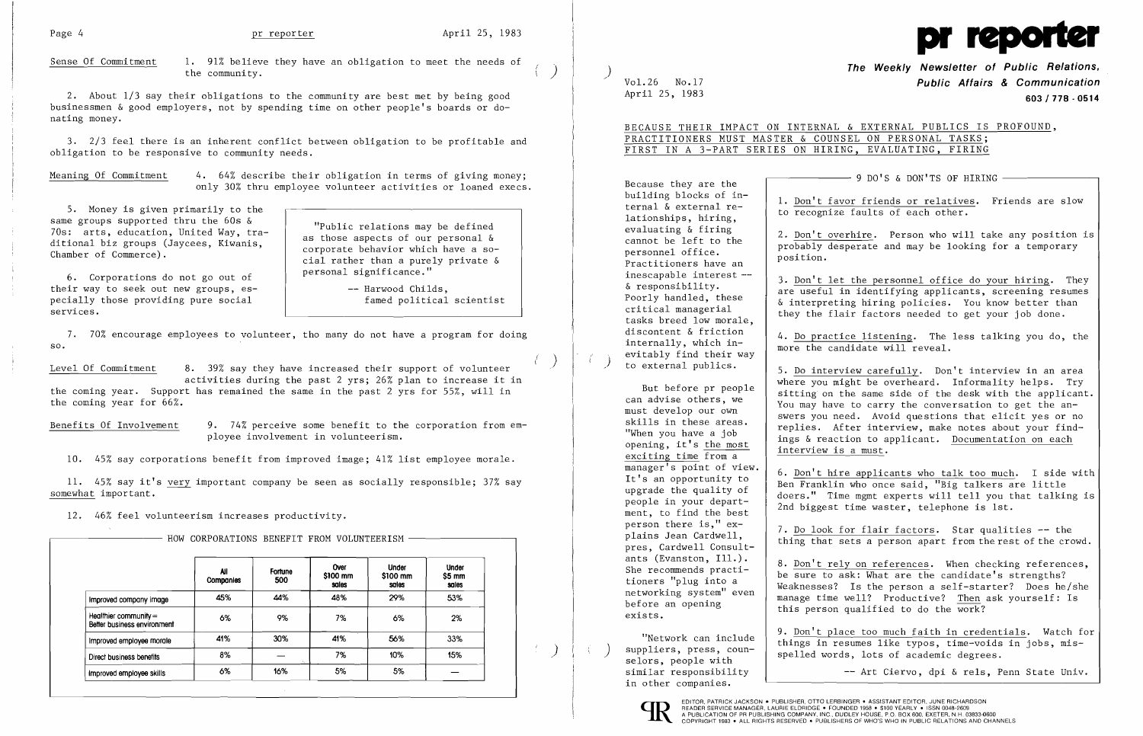

## The Weekly Newsletter of Public Relations,<br>Vol.26 No.17 **Public Affairs & Communication**<br>April 25, 1983 **Public Affairs & Communication** April 25, 1983<br>**603/778·0514**

2. About 1/3 say their obligations to the community are best met by being good businessmen & good employers, not by spending time on other people's boards or donating money.

Meaning Of Commitment 4. 64% describe their obligation in terms of giving money; only 30% thru employee volunteer activities or loaned execs.

3. 2/3 feel there is an inherent conflict between obligation to be profitable and obligation to be responsive to community needs.

> -- Harwood Childs, famed political scientist

5. Money is given primarily to the same groups supported thru the 60s & 70s: arts, education, United Way, traditional biz groups (Jaycees, Kiwanis, Chamber of Commerce).

Benefits Of Involvement 9. 74% perceive some benefit to the corporation from employee involvement in volunteerism.

6. Corporations do not go out of their way to seek out new groups, especially those providing pure social services.

"Public relations may be defined as those aspects of our personal & corporate behavior which have a social rather than a purely private & personal significance."

7. 70% encourage employees to volunteer, tho many do not have a program for doing so.

Level Of Commitment 8. 39% say they have increased their support of volunteer

(

Because they are the building blocks of internal & external relationships, hiring, evaluating & firing cannot be left to the personnel office. Practitioners have an inescapable interest - & responsibility. Poorly handled, these critical managerial tasks breed low morale, discontent & friction internally, which inevitably find their way<br>to external publics.

activities during the past 2 yrs; 26% plan to increase it in the coming year. Support has remained the same in the past 2 yrs for 55%, will in the coming year for 66%.

10. 45% say corporations benefit from improved image; 41% list employee morale.

11. 45% say it's very important company be seen as socially responsible; 37% say somewhat important.

HOW CORPORATIONS BENEFIT FROM VOLUNTEERISM

12. 46% feel volunteerism increases productivity.

4. Do practice listening. The less talking you do, the more the candidate will reveal.

|                                                        | All<br><b>Companies</b> | Fortune<br>500 | Over<br>\$100 mm<br>sales | <b>Under</b><br>\$100 mm<br>sales | <b>Under</b><br>\$5 mm<br>sales |
|--------------------------------------------------------|-------------------------|----------------|---------------------------|-----------------------------------|---------------------------------|
| Improved company image                                 | 45%                     | 44%            | 48%                       | 29%                               | 53%                             |
| Healthier community $=$<br>Better business environment | 6%                      | 9%             | 7%                        | 6%                                | 2%                              |
| Improved employee morale                               | 41%                     | 30%            | 41%                       | 56%                               | 33%                             |
| Direct business benefits                               | 8%                      | ÷.             | 7%                        | 10%                               | 15%                             |
| improved employee skills                               | 6%                      | 16%            | 5%                        | 5%                                |                                 |

)

 $\mathcal{F}$  .

Sense Of Commitment 1. 91% believe they have an obligation to meet the needs of the community.  $\left(\begin{array}{c} \circ \\ \circ \end{array}\right)$ 

BECAUSE THEIR IMPACT ON INTERNAL & EXTERNAL PUBLICS IS PROFOUND,

 $-$  9 DO'S & DON'TS OF HIRING  $-$ 

7. Do look for flair factors. Star qualities -- the thing that sets a person apart from the rest of the crowd.

### PRACTITIONERS MUST MASTER & COUNSEL ON PERSONAL TASKS; FIRST IN A 3-PART SERIES ON HIRING, EVALUATING, FIRING

But before pr people can advise others, we must develop our own skills in these areas. "When you have a job opening, it's the most exciting time from a manager's point of view. It's an opportunity to upgrade the quality of people in your department, to find the best person there is," explains Jean Cardwell, pres, Cardwell Consultants (Evanston, Ill.). She recommends practitioners "plug into a networking system" even

before an opening

exists.

EDITOR, PATRICK JACKSON . PUBLISHER, OTTO LERBINGER . ASSISTANT EDITOR, JUNE RICHARDSON<br>A PIEADER SERVICE MANAGER, LAURIE ELDRIDGE . FOUNDED 1958 . \$100 YEARLY . ISSN 0048-2609<br>A PUBLICATION OF PR PUBLISHING COMPANY, INC.,

"Network can include suppliers, press, counselors, people with similar responsibility in other companies.

1. Don't favor friends or relatives. Friends are slow to recognize faults of each other.

2. Don't overhire. Person who will take any position is probably desperate and may be looking for a temporary position.

3. Don't let the personnel office do your hiring. They are useful in identifying applicants, screening resumes & interpreting hiring policies. You know better than they the flair factors needed to get your job done.

5. Do interview carefully. Don't interview in an area where you might be overheard. Informality helps. Try sitting on the same side of the desk with the applicant. You may have to carry the conversation to get the answers you need. Avoid questions that elicit yes or no replies. After interview, make notes about your findings & reaction to applicant. Documentation on each interview is a must.

6. Don't hire applicants who talk too much. I side with Ben Franklin who once said, "Big talkers are little doers." Time mgmt experts will tell you that talking is 2nd biggest time waster, telephone is 1st.

8. Don't rely on references. When checking references, be sure to ask: What are the candidate's strengths? Weaknesses? Is the person a self-starter? Does he/she manage time well? Productive? Then ask yourself: Is this person qualified to do the work?

9. Don't place too much faith in credentials. Watch for things in resumes like typos, time-voids in jobs, misspelled words, lots of academic degrees.

-- Art Ciervo, dpi & rels, Penn State Univ.